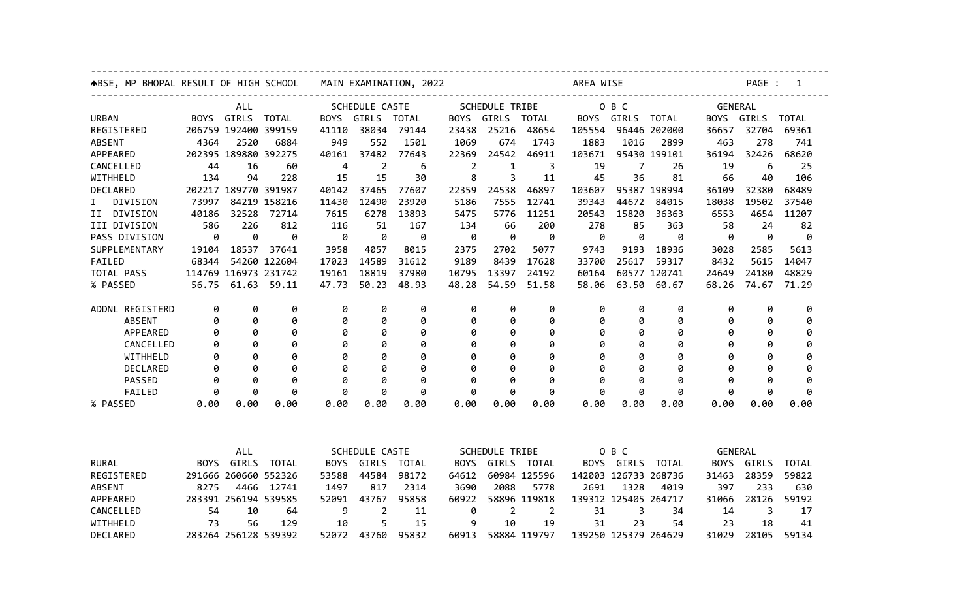| <b>ABSE, MP BHOPAL RESULT OF HIGH SCHOOL</b> |             |                      | MAIN EXAMINATION, 2022 |             |                       |              | AREA WISE      |                         | PAGE :<br>1    |                      |            |                      |             |                |              |  |  |
|----------------------------------------------|-------------|----------------------|------------------------|-------------|-----------------------|--------------|----------------|-------------------------|----------------|----------------------|------------|----------------------|-------------|----------------|--------------|--|--|
| <b>ALL</b>                                   |             |                      |                        |             | SCHEDULE CASTE        |              |                | SCHEDULE TRIBE<br>O B C |                |                      |            |                      |             | <b>GENERAL</b> |              |  |  |
| <b>URBAN</b>                                 | BOYS.       | GIRLS                | TOTAL                  | BOYS GIRLS  |                       | TOTAL        | BOYS GIRLS     |                         | TOTAL          |                      | BOYS GIRLS | TOTAL                | BOYS        | GIRLS          | <b>TOTAL</b> |  |  |
| REGISTERED                                   |             | 206759 192400 399159 |                        | 41110       | 38034                 | 79144        | 23438          | 25216                   | 48654          | 105554               |            | 96446 202000         | 36657       | 32704          | 69361        |  |  |
| <b>ABSENT</b>                                | 4364        | 2520                 | 6884                   | 949         | 552                   | 1501         | 1069           | 674                     | 1743           | 1883                 | 1016       | 2899                 | 463         | 278            | 741          |  |  |
| APPEARED                                     |             | 202395 189880 392275 |                        | 40161       | 37482                 | 77643        | 22369          | 24542                   | 46911          | 103671               |            | 95430 199101         | 36194       | 32426          | 68620        |  |  |
| CANCELLED                                    | 44          | 16                   | 60                     | 4           | $\overline{2}$        | 6            | $\overline{2}$ | 1                       | 3              | 19                   | 7          | 26                   | 19          | 6              | 25           |  |  |
| WITHHELD                                     | 134         | 94                   | 228                    | 15          | 15                    | 30           | 8              | 3                       | 11             | 45                   | 36         | 81                   | 66          | 40             | 106          |  |  |
| <b>DECLARED</b>                              |             | 202217 189770 391987 |                        | 40142       | 37465                 | 77607        | 22359          | 24538                   | 46897          | 103607               |            | 95387 198994         | 36109       | 32380          | 68489        |  |  |
| DIVISION<br>Ι.                               | 73997       |                      | 84219 158216           | 11430       | 12490                 | 23920        | 5186           | 7555                    | 12741          | 39343                | 44672      | 84015                | 18038       | 19502          | 37540        |  |  |
| II DIVISION                                  | 40186       | 32528                | 72714                  | 7615        | 6278                  | 13893        | 5475           | 5776                    | 11251          | 20543                | 15820      | 36363                | 6553        | 4654           | 11207        |  |  |
| III DIVISION                                 | 586         | 226                  | 812                    | 116         | 51                    | 167          | 134            | 66                      | 200            | 278                  | 85         | 363                  | 58          | 24             | 82           |  |  |
| PASS DIVISION                                | 0           | 0                    | 0                      | 0           | 0                     | 0            | 0              | 0                       | 0              | 0                    | 0          | 0                    | 0           | 0              | 0            |  |  |
| SUPPLEMENTARY                                | 19104       | 18537                | 37641                  | 3958        | 4057                  | 8015         | 2375           | 2702                    | 5077           | 9743                 | 9193       | 18936                | 3028        | 2585           | 5613         |  |  |
| FAILED                                       | 68344       |                      | 54260 122604           | 17023       | 14589                 | 31612        | 9189           | 8439                    | 17628          | 33700                | 25617      | 59317                | 8432        | 5615           | 14047        |  |  |
| TOTAL PASS                                   |             | 114769 116973 231742 |                        | 19161       | 18819                 | 37980        | 10795          | 13397                   | 24192          | 60164                |            | 60577 120741         | 24649       | 24180          | 48829        |  |  |
| % PASSED                                     | 56.75       | 61.63                | 59.11                  | 47.73       | 50.23                 | 48.93        | 48.28          | 54.59                   | 51.58          | 58.06                | 63.50      | 60.67                | 68.26       | 74.67          | 71.29        |  |  |
| ADDNL REGISTERD                              | 0           | 0                    | 0                      | 0           | 0                     | 0            | 0              | 0                       | 0              | 0                    | 0          | 0                    | 0           | 0              | 0            |  |  |
| <b>ABSENT</b>                                | 0           | 0                    | 0                      | 0           | 0                     | 0            | 0              | 0                       | 0              | 0                    | 0          | 0                    | 0           | 0              | 0            |  |  |
| APPEARED                                     | 0           | ø                    | 0                      | 0           | 0                     | 0            | 0              | ø                       | 0              | 0                    | 0          | 0                    | ø           | ø              | 0            |  |  |
| CANCELLED                                    | 0           | 0                    | 0                      | 0           | 0                     | 0            | 0              | 0                       | 0              | 0                    | 0          | 0                    | 0           | 0              | 0            |  |  |
| WITHHELD                                     | 0           | 0                    | 0                      | 0           | 0                     | 0            | 0              | 0                       | 0              | 0                    | 0          | 0                    | ø           | 0              | 0            |  |  |
| DECLARED                                     | ø           | 0                    | 0                      | ø           | 0                     | 0            | ø              | ø                       | 0              | ø                    | 0          | 0                    | ø           | ø              | 0            |  |  |
| PASSED                                       | 0           | 0                    | 0                      | 0           | 0                     | 0            | 0              | 0                       | 0              | 0                    | 0          | 0                    | 0           | 0              | 0            |  |  |
| FAILED                                       | 0           | ø                    | Ø                      | 0           | 0                     | 0            | 0              | Ø                       | ø              | ø                    | 0          | 0                    | Ø           | 0              | ø            |  |  |
| % PASSED                                     | 0.00        | 0.00                 | 0.00                   | 0.00        | 0.00                  | 0.00         | 0.00           | 0.00                    | 0.00           | 0.00                 | 0.00       | 0.00                 | 0.00        | 0.00           | 0.00         |  |  |
|                                              |             |                      |                        |             |                       |              |                |                         |                |                      |            |                      |             |                |              |  |  |
|                                              |             | <b>ALL</b>           |                        |             | <b>SCHEDULE CASTE</b> |              |                | <b>SCHEDULE TRIBE</b>   |                |                      | O B C      |                      |             | <b>GENERAL</b> |              |  |  |
| <b>RURAL</b>                                 | <b>BOYS</b> | GIRLS                | <b>TOTAL</b>           | <b>BOYS</b> | GIRLS                 | <b>TOTAL</b> | <b>BOYS</b>    | GIRLS                   | TOTAL          | <b>BOYS</b>          | GIRLS      | <b>TOTAL</b>         | <b>BOYS</b> | GIRLS          | <b>TOTAL</b> |  |  |
| REGISTERED                                   |             | 291666 260660 552326 |                        | 53588       | 44584                 | 98172        | 64612          |                         | 60984 125596   |                      |            | 142003 126733 268736 | 31463       | 28359          | 59822        |  |  |
| <b>ABSENT</b>                                | 8275        | 4466                 | 12741                  | 1497        | 817                   | 2314         | 3690           | 2088                    | 5778           | 2691                 | 1328       | 4019                 | 397         | 233            | 630          |  |  |
| APPEARED                                     |             | 283391 256194 539585 |                        | 52091       | 43767                 | 95858        | 60922          |                         | 58896 119818   | 139312 125405 264717 |            |                      | 31066       | 28126          | 59192        |  |  |
| CANCELLED                                    | 54          | 10                   | 64                     | 9           | 2                     | 11           | 0              | 2                       | $\overline{2}$ | 31                   | 3          | 34                   | 14          | 3              | 17           |  |  |
| WITHHELD                                     | 73          | 56                   | 129                    | 10          | 5                     | 15           | 9              | 10                      | 19             | 31                   | 23         | 54                   | 23          | 18             | 41           |  |  |
| DECLARED                                     |             | 283264 256128 539392 |                        | 52072       | 43760                 | 95832        | 60913          |                         | 58884 119797   | 139250 125379 264629 |            |                      | 31029       | 28105          | 59134        |  |  |